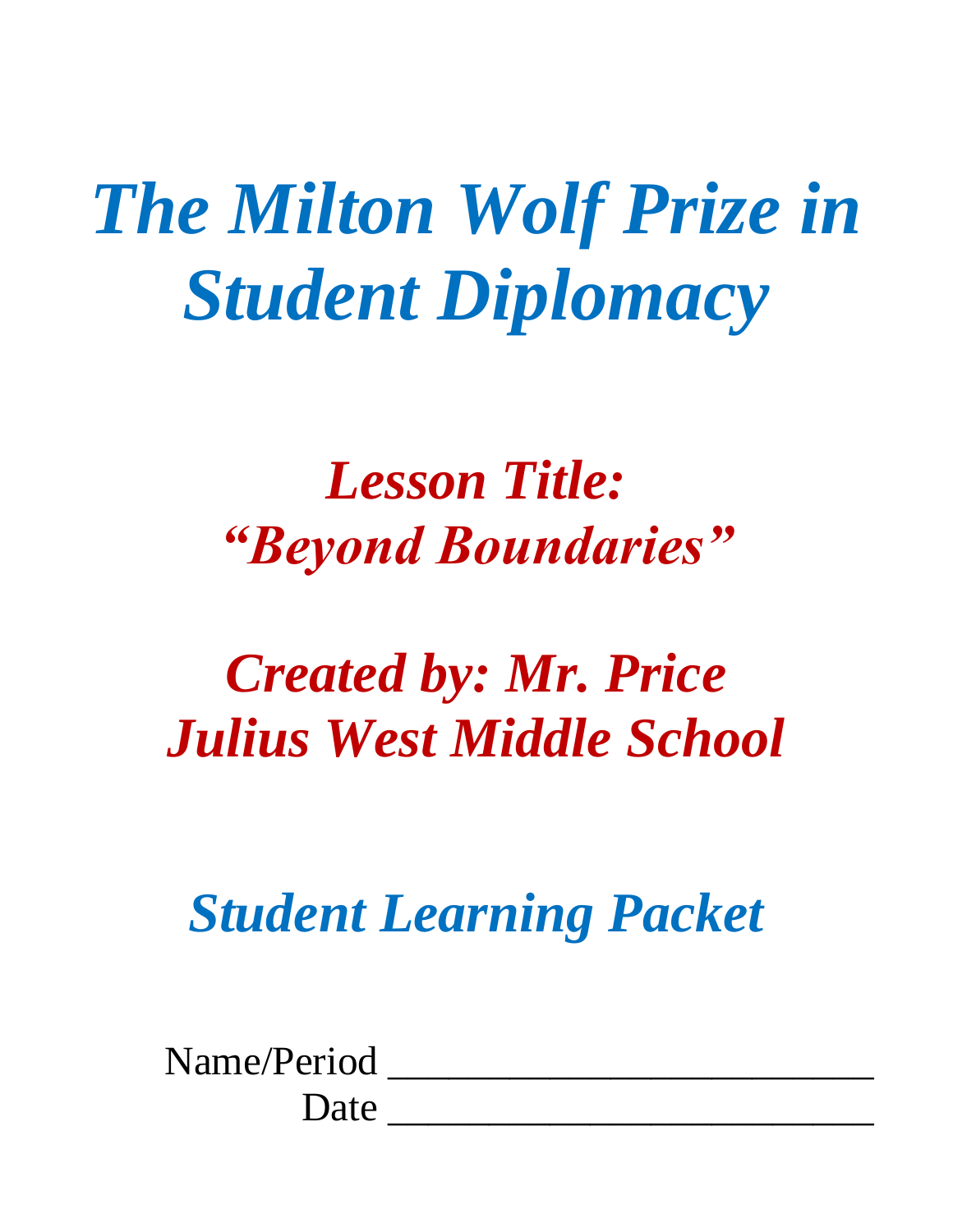# *The Milton Wolf Prize in Student Diplomacy*

## *Lesson Title: "Beyond Boundaries"*

# *Created by: Mr. Price Julius West Middle School*

*Student Learning Packet*

| Name/Period |  |
|-------------|--|
| Date        |  |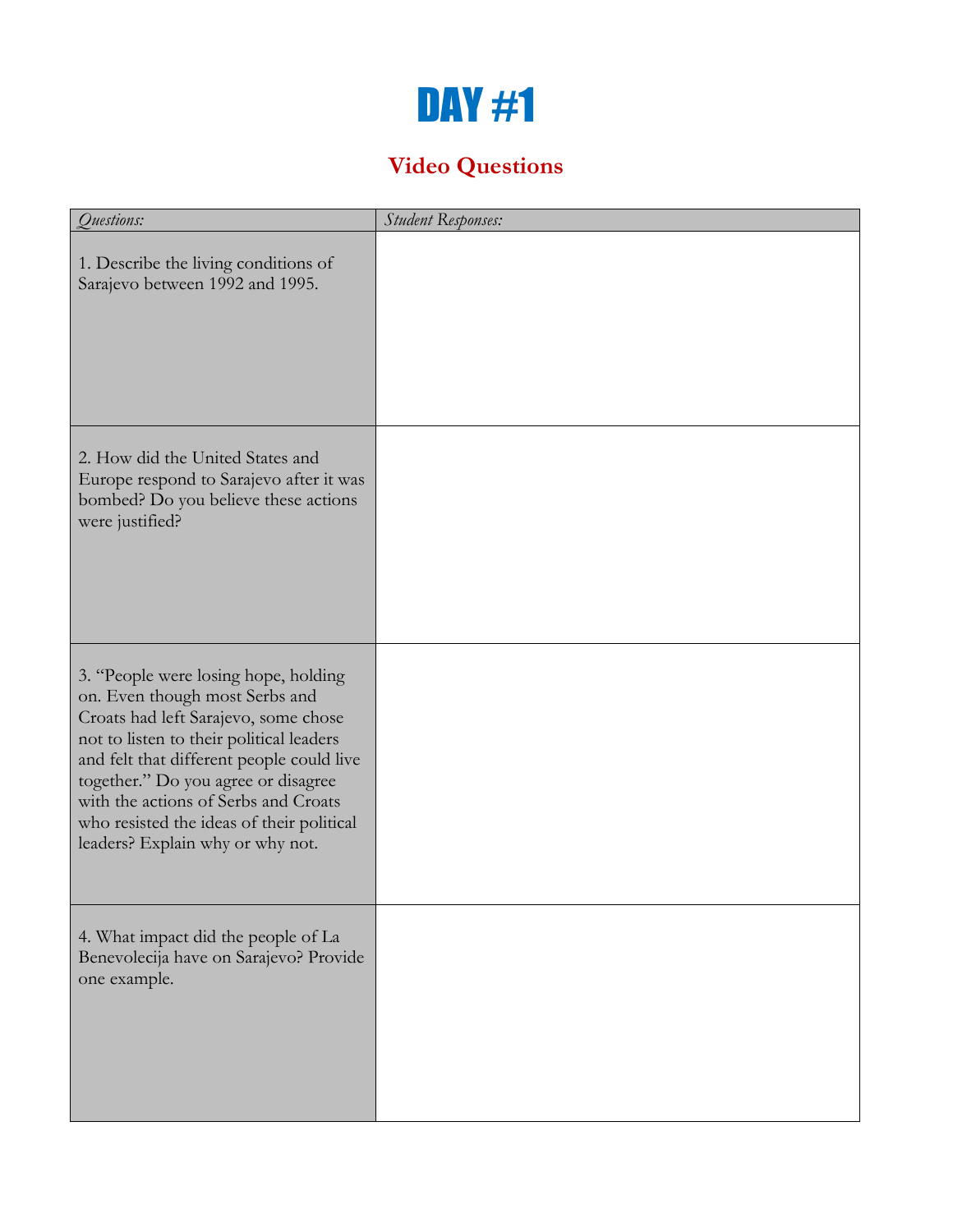### DAY #1

### **Video Questions**

| Questions:                                                                                                                                                                                                                                                                                                                                                              | <b>Student Responses:</b> |
|-------------------------------------------------------------------------------------------------------------------------------------------------------------------------------------------------------------------------------------------------------------------------------------------------------------------------------------------------------------------------|---------------------------|
| 1. Describe the living conditions of<br>Sarajevo between 1992 and 1995.                                                                                                                                                                                                                                                                                                 |                           |
| 2. How did the United States and<br>Europe respond to Sarajevo after it was<br>bombed? Do you believe these actions<br>were justified?                                                                                                                                                                                                                                  |                           |
| 3. "People were losing hope, holding<br>on. Even though most Serbs and<br>Croats had left Sarajevo, some chose<br>not to listen to their political leaders<br>and felt that different people could live<br>together." Do you agree or disagree<br>with the actions of Serbs and Croats<br>who resisted the ideas of their political<br>leaders? Explain why or why not. |                           |
| 4. What impact did the people of La<br>Benevolecija have on Sarajevo? Provide<br>one example.                                                                                                                                                                                                                                                                           |                           |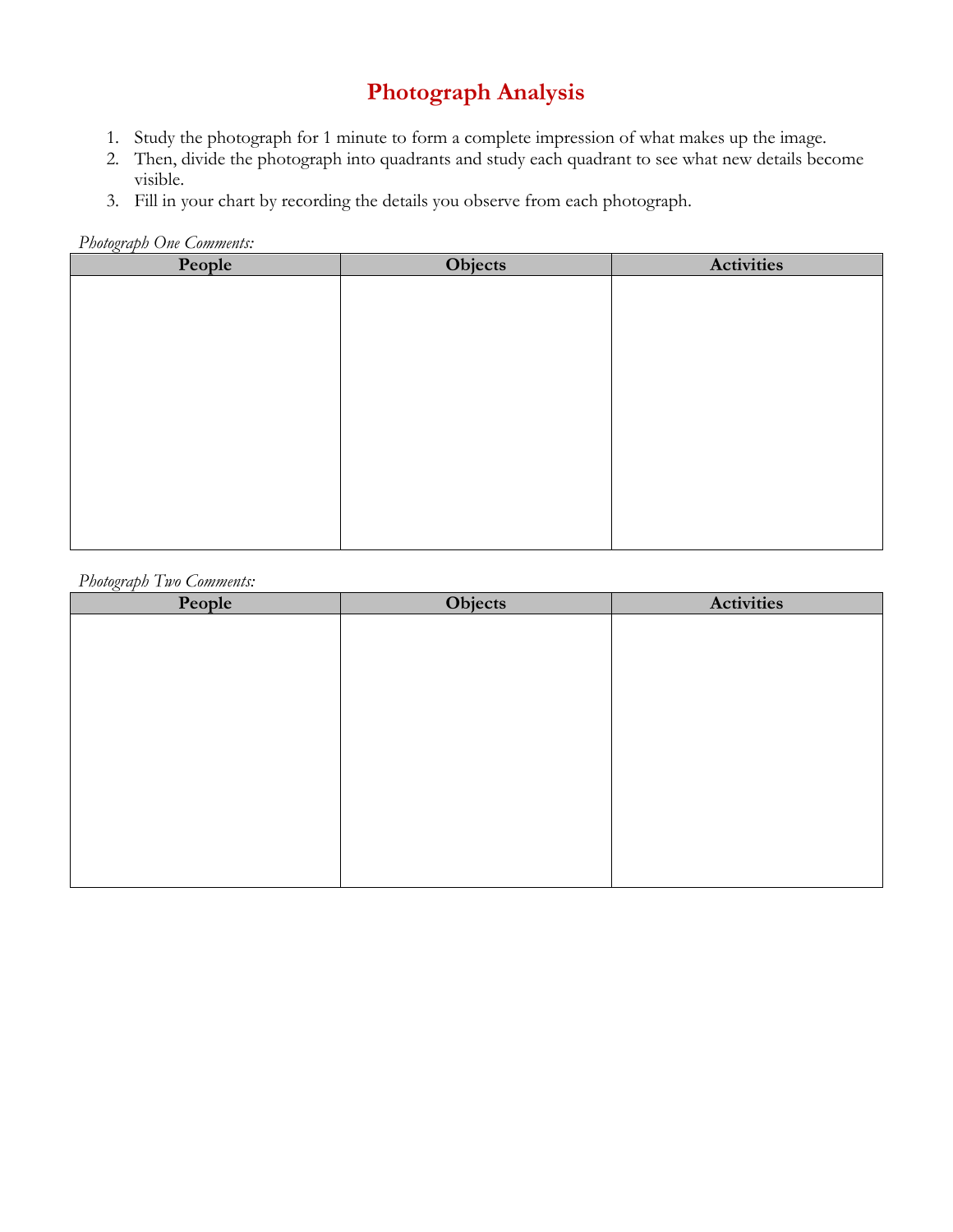### **Photograph Analysis**

- 1. Study the photograph for 1 minute to form a complete impression of what makes up the image.
- 2. Then, divide the photograph into quadrants and study each quadrant to see what new details become visible.
- 3. Fill in your chart by recording the details you observe from each photograph.

*Photograph One Comments:*

| <u>C</u> 1<br>People | Objects | <b>Activities</b> |
|----------------------|---------|-------------------|
|                      |         |                   |
|                      |         |                   |
|                      |         |                   |
|                      |         |                   |
|                      |         |                   |
|                      |         |                   |
|                      |         |                   |
|                      |         |                   |
|                      |         |                   |
|                      |         |                   |
|                      |         |                   |
|                      |         |                   |

#### *Photograph Two Comments:*

| <u>ے ب</u><br>People | Objects | <b>Activities</b> |
|----------------------|---------|-------------------|
|                      |         |                   |
|                      |         |                   |
|                      |         |                   |
|                      |         |                   |
|                      |         |                   |
|                      |         |                   |
|                      |         |                   |
|                      |         |                   |
|                      |         |                   |
|                      |         |                   |
|                      |         |                   |
|                      |         |                   |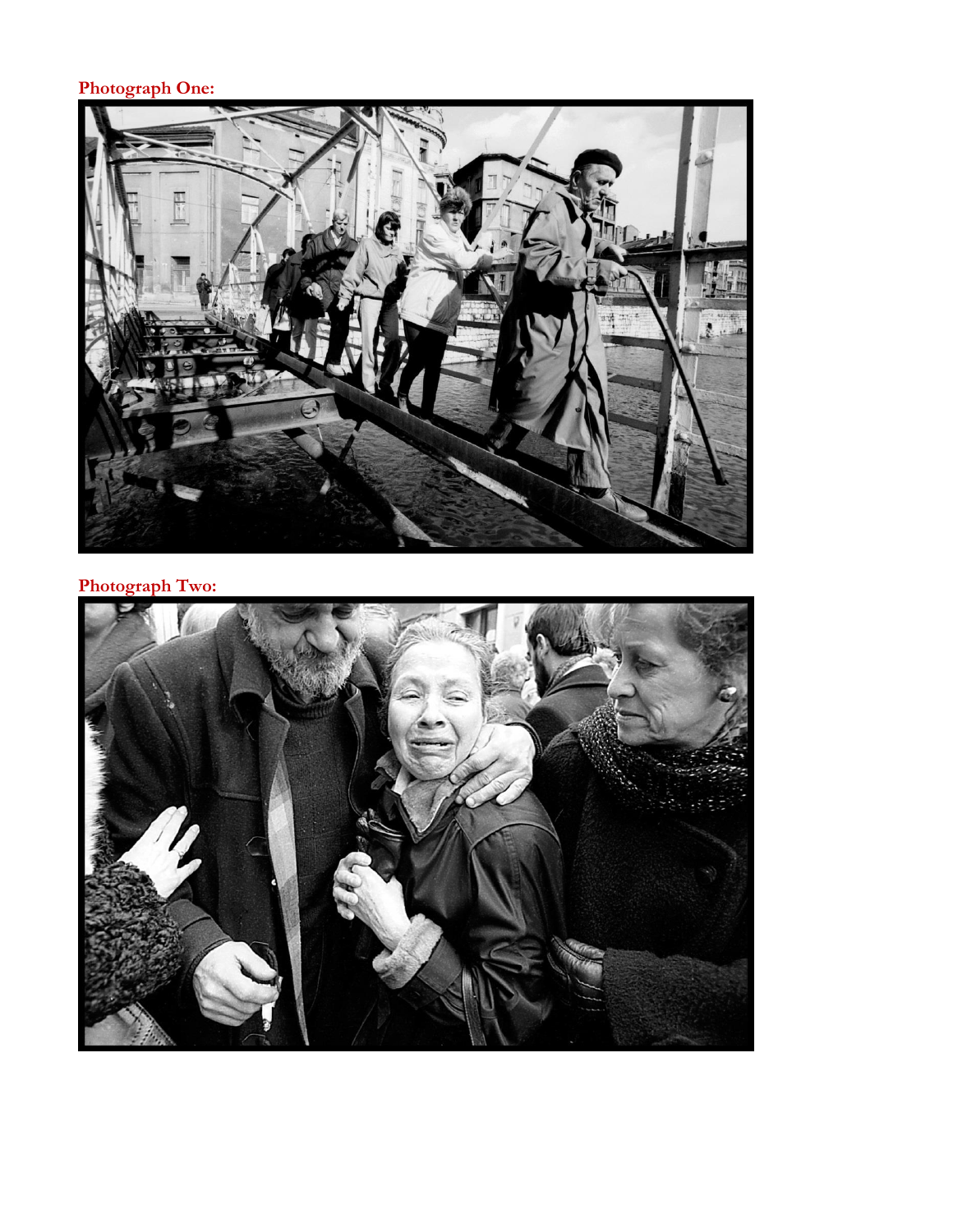### **Photograph One:**



#### **Photograph Two:**

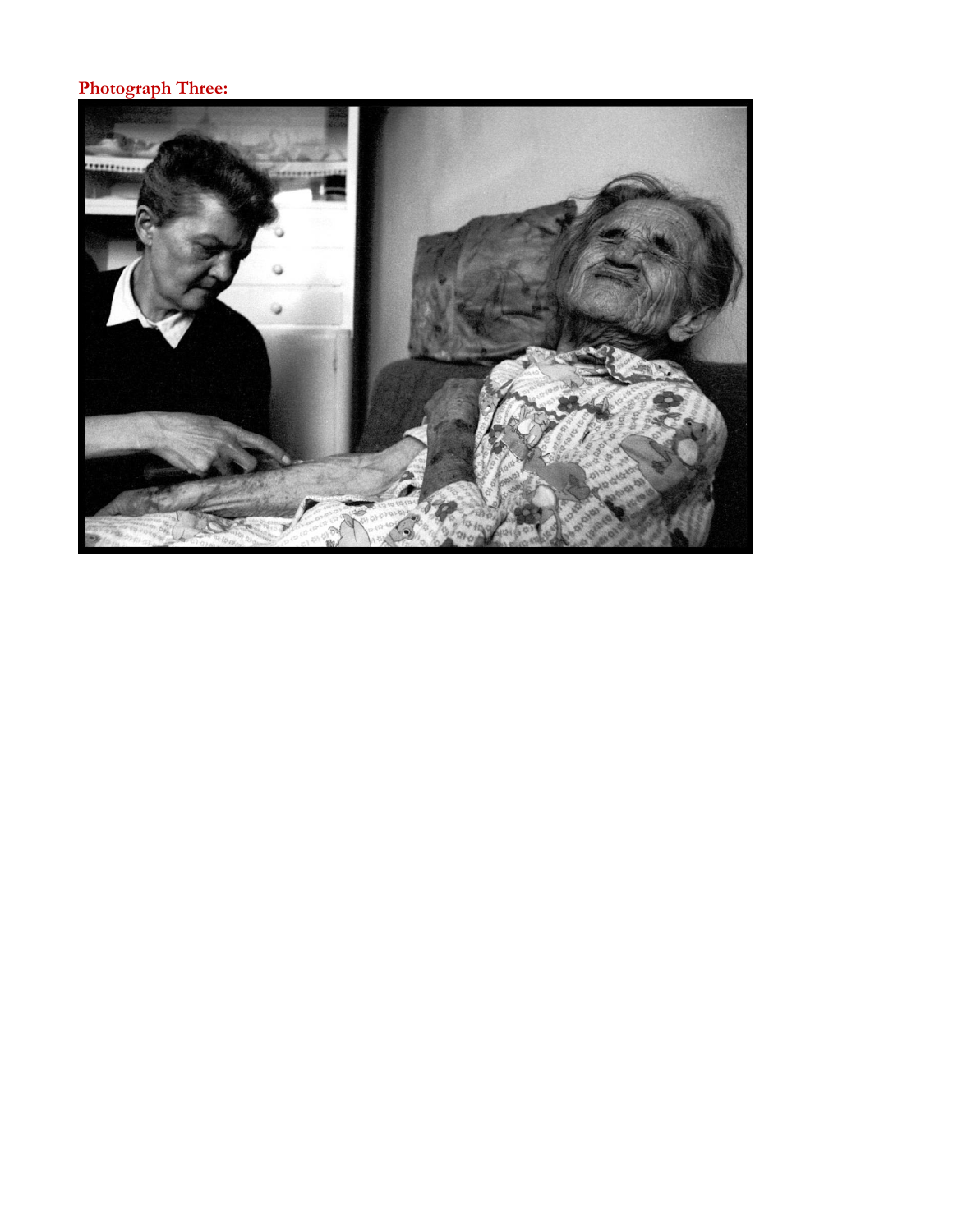### **Photograph Three:**

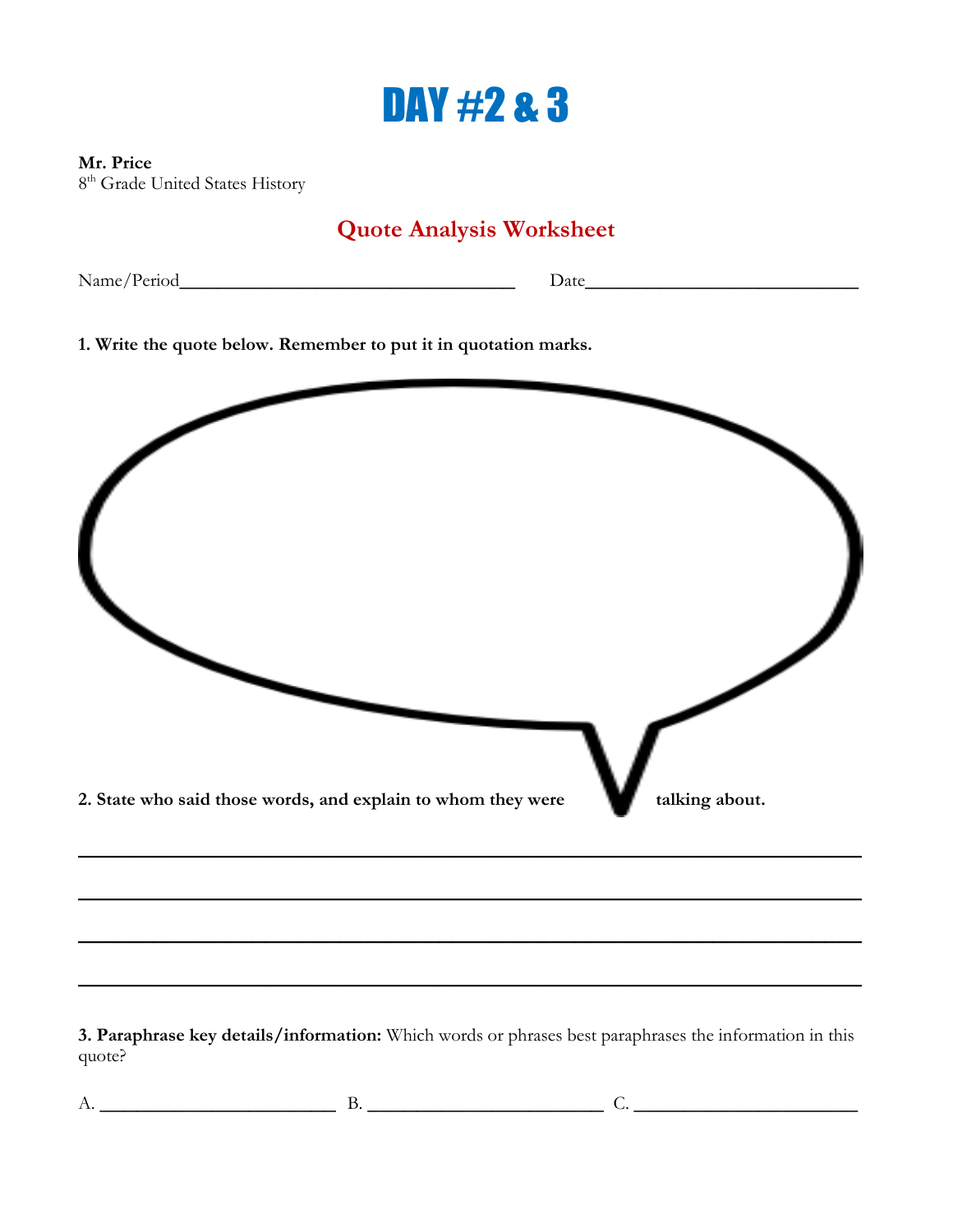### DAY #2 & 3

#### **Mr. Price**

8<sup>th</sup> Grade United States History

### **Quote Analysis Worksheet**

Name/Period**\_\_\_\_\_\_\_\_\_\_\_\_\_\_\_\_\_\_\_\_\_\_\_\_\_\_\_** Date**\_\_\_\_\_\_\_\_\_\_\_\_\_\_\_\_\_\_\_\_\_\_**

**1. Write the quote below. Remember to put it in quotation marks.** 



**3. Paraphrase key details/information:** Which words or phrases best paraphrases the information in this quote?

**\_\_\_\_\_\_\_\_\_\_\_\_\_\_\_\_\_\_\_\_\_\_\_\_\_\_\_\_\_\_\_\_\_\_\_\_\_\_\_\_\_\_\_\_\_\_\_\_\_\_\_\_\_\_\_\_\_\_\_\_\_\_\_**

A. **\_\_\_\_\_\_\_\_\_\_\_\_\_\_\_\_\_\_\_** B. **\_\_\_\_\_\_\_\_\_\_\_\_\_\_\_\_\_\_\_** C. **\_\_\_\_\_\_\_\_\_\_\_\_\_\_\_\_\_\_**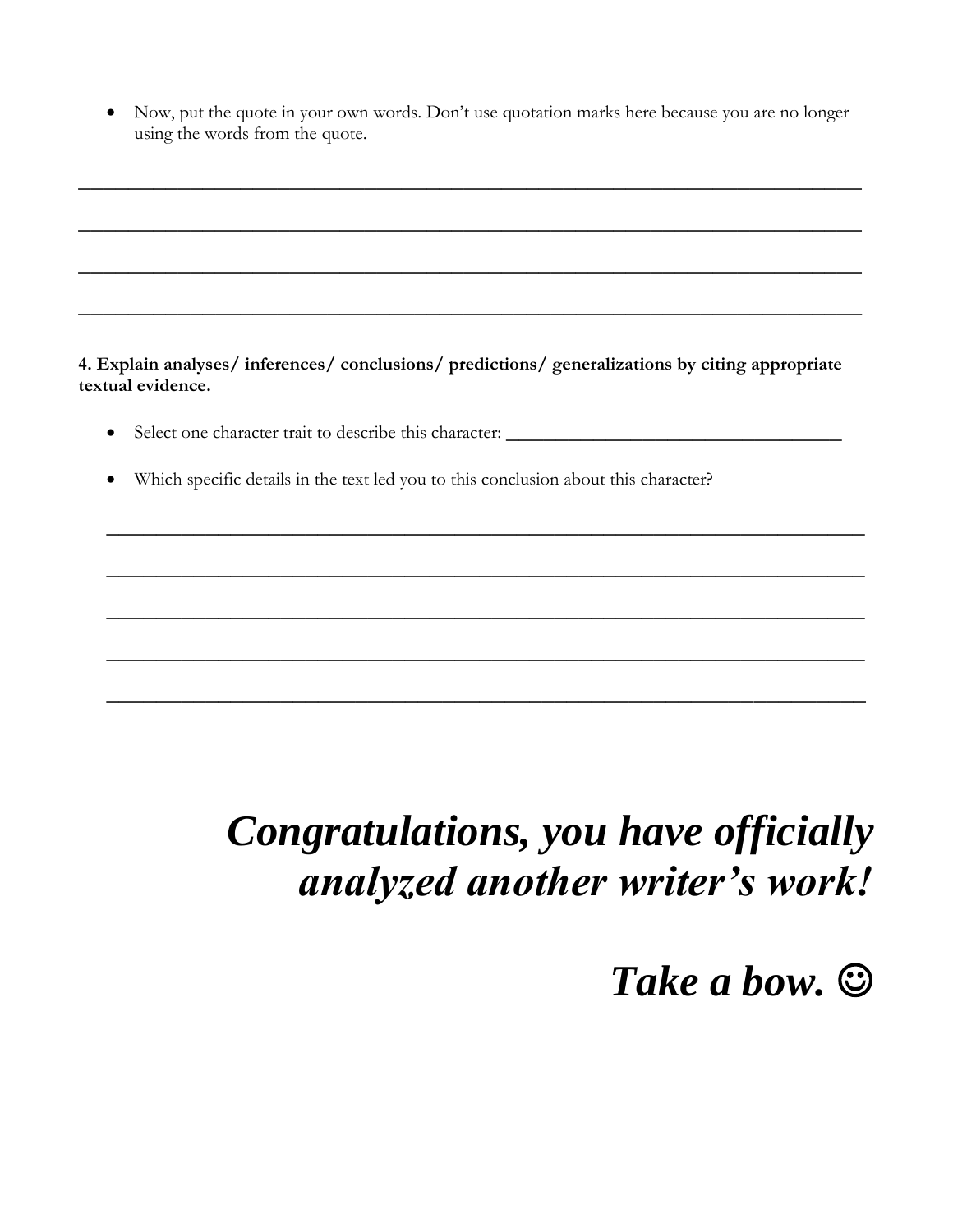Now, put the quote in your own words. Don't use quotation marks here because you are no longer using the words from the quote.

**\_\_\_\_\_\_\_\_\_\_\_\_\_\_\_\_\_\_\_\_\_\_\_\_\_\_\_\_\_\_\_\_\_\_\_\_\_\_\_\_\_\_\_\_\_\_\_\_\_\_\_\_\_\_\_\_\_\_\_\_\_\_\_**

**\_\_\_\_\_\_\_\_\_\_\_\_\_\_\_\_\_\_\_\_\_\_\_\_\_\_\_\_\_\_\_\_\_\_\_\_\_\_\_\_\_\_\_\_\_\_\_\_\_\_\_\_\_\_\_\_\_\_\_\_\_\_\_**

**\_\_\_\_\_\_\_\_\_\_\_\_\_\_\_\_\_\_\_\_\_\_\_\_\_\_\_\_\_\_\_\_\_\_\_\_\_\_\_\_\_\_\_\_\_\_\_\_\_\_\_\_\_\_\_\_\_\_\_\_\_\_\_**

**\_\_\_\_\_\_\_\_\_\_\_\_\_\_\_\_\_\_\_\_\_\_\_\_\_\_\_\_\_\_\_\_\_\_\_\_\_\_\_\_\_\_\_\_\_\_\_\_\_\_\_\_\_\_\_\_\_\_\_\_\_\_\_**

**4. Explain analyses/ inferences/ conclusions/ predictions/ generalizations by citing appropriate textual evidence.** 

Select one character trait to describe this character: **\_\_\_\_\_\_\_\_\_\_\_\_\_\_\_\_\_\_\_\_\_\_\_\_\_\_\_**

**\_\_\_\_\_\_\_\_\_\_\_\_\_\_\_\_\_\_\_\_\_\_\_\_\_\_\_\_\_\_\_\_\_\_\_\_\_\_\_\_\_\_\_\_\_\_\_\_\_\_\_\_\_\_\_\_\_\_\_\_\_**

**\_\_\_\_\_\_\_\_\_\_\_\_\_\_\_\_\_\_\_\_\_\_\_\_\_\_\_\_\_\_\_\_\_\_\_\_\_\_\_\_\_\_\_\_\_\_\_\_\_\_\_\_\_\_\_\_\_\_\_\_\_**

**\_\_\_\_\_\_\_\_\_\_\_\_\_\_\_\_\_\_\_\_\_\_\_\_\_\_\_\_\_\_\_\_\_\_\_\_\_\_\_\_\_\_\_\_\_\_\_\_\_\_\_\_\_\_\_\_\_\_\_\_\_**

**\_\_\_\_\_\_\_\_\_\_\_\_\_\_\_\_\_\_\_\_\_\_\_\_\_\_\_\_\_\_\_\_\_\_\_\_\_\_\_\_\_\_\_\_\_\_\_\_\_\_\_\_\_\_\_\_\_\_\_\_\_**

**\_\_\_\_\_\_\_\_\_\_\_\_\_\_\_\_\_\_\_\_\_\_\_\_\_\_\_\_\_\_\_\_\_\_\_\_\_\_\_\_\_\_\_\_\_\_\_\_\_\_\_\_\_\_\_\_\_\_\_\_\_**

Which specific details in the text led you to this conclusion about this character?

### *Congratulations, you have officially analyzed another writer's work!*

### *Take a bow.*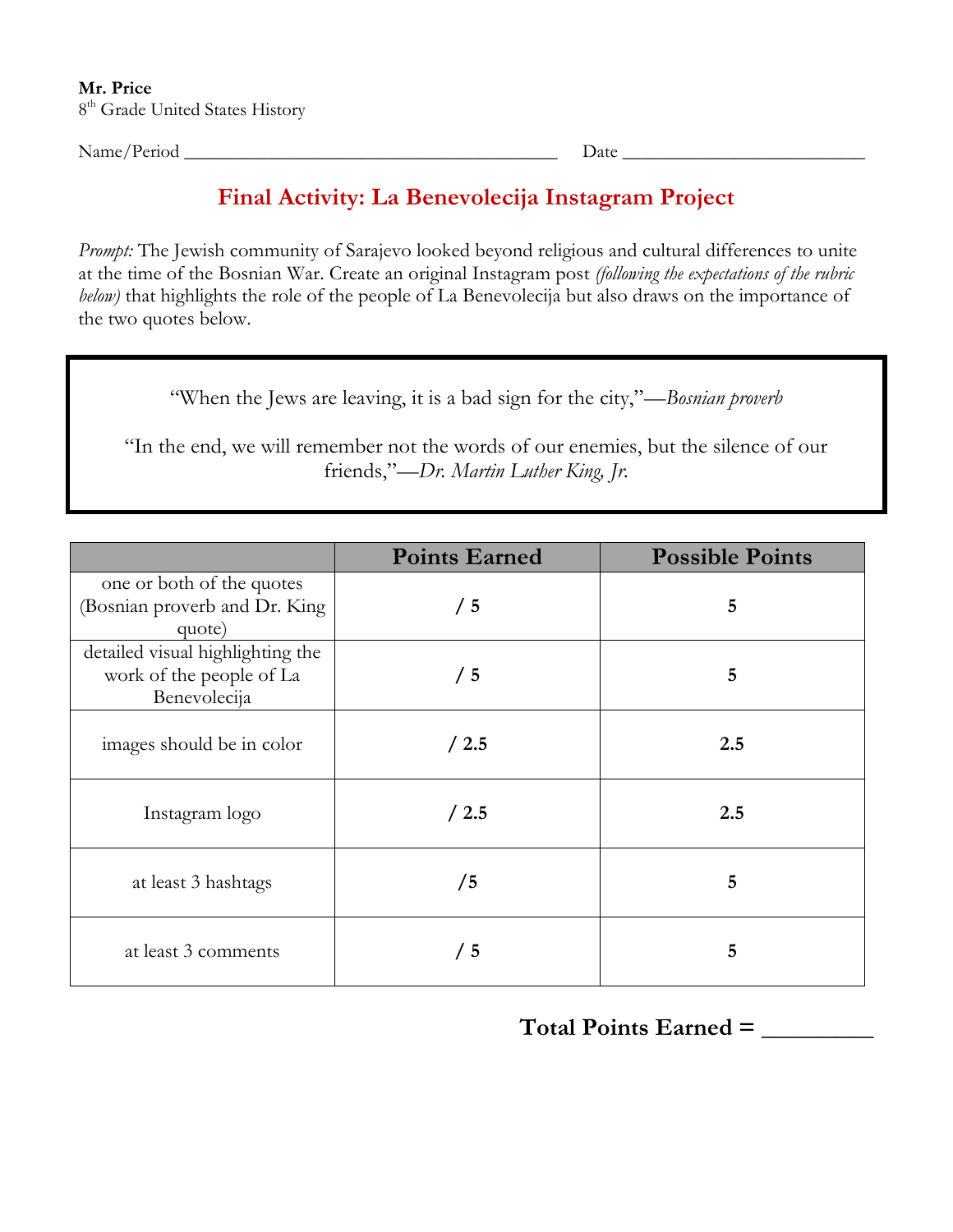Name/Period \_\_\_\_\_\_\_\_\_\_\_\_\_\_\_\_\_\_\_\_\_\_\_\_\_\_\_\_\_\_\_\_\_\_\_\_\_\_\_\_ Date \_\_\_\_\_\_\_\_\_\_\_\_\_\_\_\_\_\_\_\_\_\_\_\_\_\_

### **Final Activity: La Benevolecija Instagram Project**

*Prompt:* The Jewish community of Sarajevo looked beyond religious and cultural differences to unite at the time of the Bosnian War. Create an original Instagram post *(following the expectations of the rubric below)* that highlights the role of the people of La Benevolecija but also draws on the importance of the two quotes below.

"When the Jews are leaving, it is a bad sign for the city,"*—Bosnian proverb*

"In the end, we will remember not the words of our enemies, but the silence of our friends,"*—Dr. Martin Luther King, Jr.*

|                                                                              | <b>Points Earned</b> | <b>Possible Points</b> |
|------------------------------------------------------------------------------|----------------------|------------------------|
| one or both of the quotes<br>(Bosnian proverb and Dr. King<br>quote)         | /5                   | 5                      |
| detailed visual highlighting the<br>work of the people of La<br>Benevolecija | /5                   | 5                      |
| images should be in color                                                    | /2.5                 | 2.5                    |
| Instagram logo                                                               | /2.5                 | 2.5                    |
| at least 3 hashtags                                                          | /5                   | 5                      |
| at least 3 comments                                                          | /5                   | 5                      |

**Total Points Earned = \_\_\_\_\_\_\_\_\_**